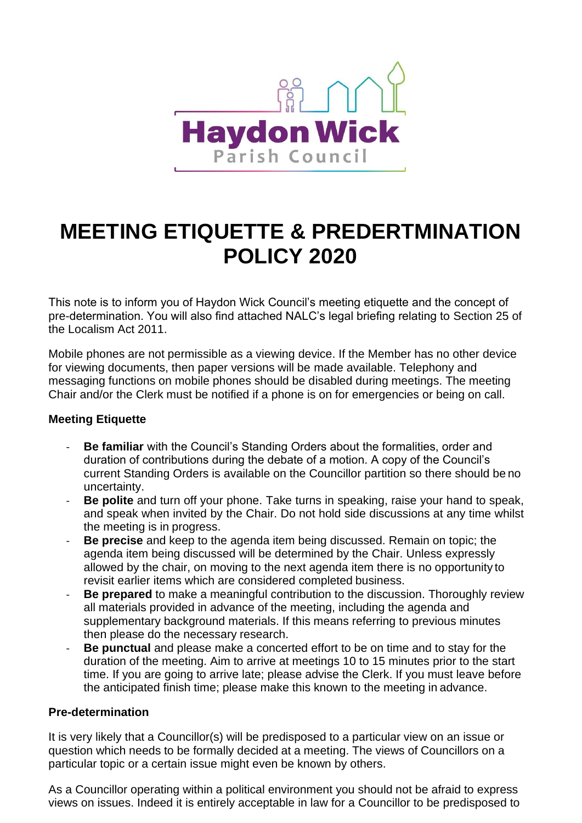

## **MEETING ETIQUETTE & PREDERTMINATION POLICY 2020**

This note is to inform you of Haydon Wick Council's meeting etiquette and the concept of pre-determination. You will also find attached NALC's legal briefing relating to Section 25 of the Localism Act 2011.

Mobile phones are not permissible as a viewing device. If the Member has no other device for viewing documents, then paper versions will be made available. Telephony and messaging functions on mobile phones should be disabled during meetings. The meeting Chair and/or the Clerk must be notified if a phone is on for emergencies or being on call.

## **Meeting Etiquette**

- **Be familiar** with the Council's Standing Orders about the formalities, order and duration of contributions during the debate of a motion. A copy of the Council's current Standing Orders is available on the Councillor partition so there should be no uncertainty.
- **Be polite** and turn off your phone. Take turns in speaking, raise your hand to speak, and speak when invited by the Chair. Do not hold side discussions at any time whilst the meeting is in progress.
- **Be precise** and keep to the agenda item being discussed. Remain on topic; the agenda item being discussed will be determined by the Chair. Unless expressly allowed by the chair, on moving to the next agenda item there is no opportunity to revisit earlier items which are considered completed business.
- **Be prepared** to make a meaningful contribution to the discussion. Thoroughly review all materials provided in advance of the meeting, including the agenda and supplementary background materials. If this means referring to previous minutes then please do the necessary research.
- **Be punctual** and please make a concerted effort to be on time and to stay for the duration of the meeting. Aim to arrive at meetings 10 to 15 minutes prior to the start time. If you are going to arrive late; please advise the Clerk. If you must leave before the anticipated finish time; please make this known to the meeting in advance.

## **Pre-determination**

It is very likely that a Councillor(s) will be predisposed to a particular view on an issue or question which needs to be formally decided at a meeting. The views of Councillors on a particular topic or a certain issue might even be known by others.

As a Councillor operating within a political environment you should not be afraid to express views on issues. Indeed it is entirely acceptable in law for a Councillor to be predisposed to